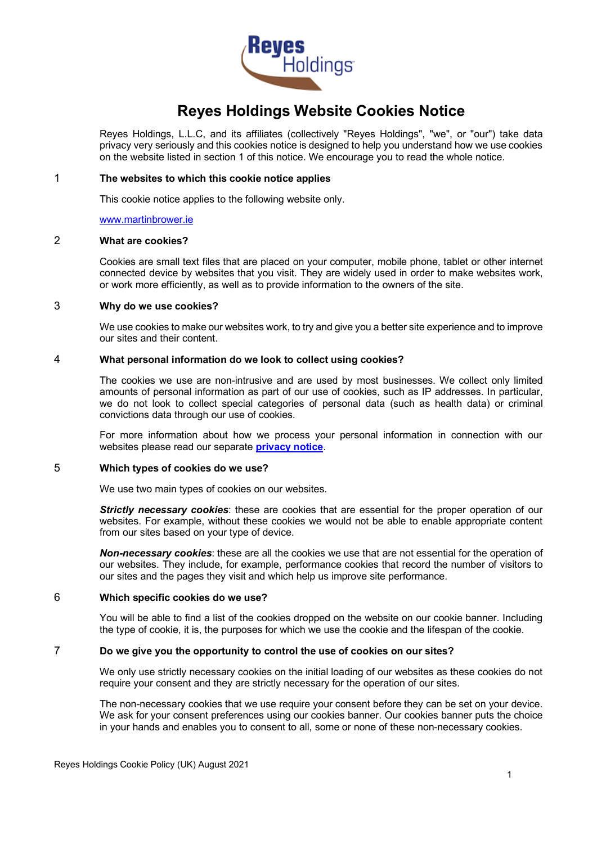

# **Reyes Holdings Website Cookies Notice**

Reyes Holdings, L.L.C, and its affiliates (collectively "Reyes Holdings", "we", or "our") take data privacy very seriously and this cookies notice is designed to help you understand how we use cookies on the website listed in section 1 of this notice. We encourage you to read the whole notice.

### 1 **The websites to which this cookie notice applies**

This cookie notice applies to the following website only.

#### [www.martinbrower.ie](http://www.martinbrower.ie/)

## 2 **What are cookies?**

Cookies are small text files that are placed on your computer, mobile phone, tablet or other internet connected device by websites that you visit. They are widely used in order to make websites work, or work more efficiently, as well as to provide information to the owners of the site.

#### 3 **Why do we use cookies?**

We use cookies to make our websites work, to try and give you a better site experience and to improve our sites and their content.

#### 4 **What personal information do we look to collect using cookies?**

The cookies we use are non-intrusive and are used by most businesses. We collect only limited amounts of personal information as part of our use of cookies, such as IP addresses. In particular, we do not look to collect special categories of personal data (such as health data) or criminal convictions data through our use of cookies.

For more information about how we process your personal information in connection with our websites please read our separate **[privacy notice](https://martinbrower.com/images/docs/Reyes_Holdings_Global_Privacy_Notice-EN.pdf)**.

#### 5 **Which types of cookies do we use?**

We use two main types of cookies on our websites.

**Strictly necessary cookies**: these are cookies that are essential for the proper operation of our websites. For example, without these cookies we would not be able to enable appropriate content from our sites based on your type of device.

*Non-necessary cookies*: these are all the cookies we use that are not essential for the operation of our websites. They include, for example, performance cookies that record the number of visitors to our sites and the pages they visit and which help us improve site performance.

### 6 **Which specific cookies do we use?**

You will be able to find a list of the cookies dropped on the website on our cookie banner. Including the type of cookie, it is, the purposes for which we use the cookie and the lifespan of the cookie.

#### 7 **Do we give you the opportunity to control the use of cookies on our sites?**

We only use strictly necessary cookies on the initial loading of our websites as these cookies do not require your consent and they are strictly necessary for the operation of our sites.

The non-necessary cookies that we use require your consent before they can be set on your device. We ask for your consent preferences using our cookies banner. Our cookies banner puts the choice in your hands and enables you to consent to all, some or none of these non-necessary cookies.